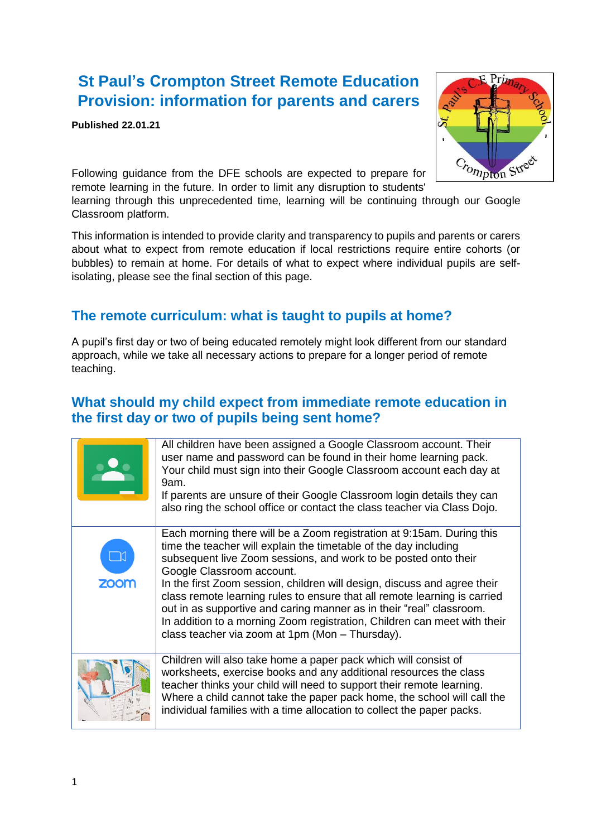## **St Paul's Crompton Street Remote Education Provision: information for parents and carers**

**Published 22.01.21**



Following guidance from the DFE schools are expected to prepare for remote learning in the future. In order to limit any disruption to students'

learning through this unprecedented time, learning will be continuing through our Google Classroom platform.

This information is intended to provide clarity and transparency to pupils and parents or carers about what to expect from remote education if local restrictions require entire cohorts (or bubbles) to remain at home. For details of what to expect where individual pupils are selfisolating, please see the final section of this page.

### **The remote curriculum: what is taught to pupils at home?**

A pupil's first day or two of being educated remotely might look different from our standard approach, while we take all necessary actions to prepare for a longer period of remote teaching.

### **What should my child expect from immediate remote education in the first day or two of pupils being sent home?**

|             | All children have been assigned a Google Classroom account. Their<br>user name and password can be found in their home learning pack.<br>Your child must sign into their Google Classroom account each day at<br>9am.<br>If parents are unsure of their Google Classroom login details they can<br>also ring the school office or contact the class teacher via Class Dojo.                                                                                                                                                                                                                               |
|-------------|-----------------------------------------------------------------------------------------------------------------------------------------------------------------------------------------------------------------------------------------------------------------------------------------------------------------------------------------------------------------------------------------------------------------------------------------------------------------------------------------------------------------------------------------------------------------------------------------------------------|
| <b>ZOOM</b> | Each morning there will be a Zoom registration at 9:15am. During this<br>time the teacher will explain the timetable of the day including<br>subsequent live Zoom sessions, and work to be posted onto their<br>Google Classroom account.<br>In the first Zoom session, children will design, discuss and agree their<br>class remote learning rules to ensure that all remote learning is carried<br>out in as supportive and caring manner as in their "real" classroom.<br>In addition to a morning Zoom registration, Children can meet with their<br>class teacher via zoom at 1pm (Mon - Thursday). |
|             | Children will also take home a paper pack which will consist of<br>worksheets, exercise books and any additional resources the class<br>teacher thinks your child will need to support their remote learning.<br>Where a child cannot take the paper pack home, the school will call the<br>individual families with a time allocation to collect the paper packs.                                                                                                                                                                                                                                        |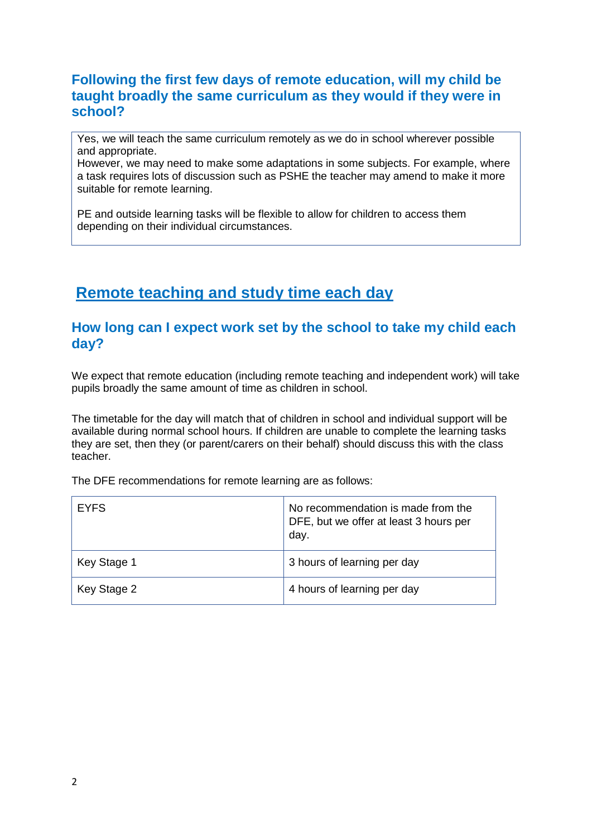### **Following the first few days of remote education, will my child be taught broadly the same curriculum as they would if they were in school?**

Yes, we will teach the same curriculum remotely as we do in school wherever possible and appropriate.

However, we may need to make some adaptations in some subjects. For example, where a task requires lots of discussion such as PSHE the teacher may amend to make it more suitable for remote learning.

PE and outside learning tasks will be flexible to allow for children to access them depending on their individual circumstances.

## **Remote teaching and study time each day**

### **How long can I expect work set by the school to take my child each day?**

We expect that remote education (including remote teaching and independent work) will take pupils broadly the same amount of time as children in school.

The timetable for the day will match that of children in school and individual support will be available during normal school hours. If children are unable to complete the learning tasks they are set, then they (or parent/carers on their behalf) should discuss this with the class teacher.

The DFE recommendations for remote learning are as follows:

| <b>EYFS</b> | No recommendation is made from the<br>DFE, but we offer at least 3 hours per<br>day. |
|-------------|--------------------------------------------------------------------------------------|
| Key Stage 1 | 3 hours of learning per day                                                          |
| Key Stage 2 | 4 hours of learning per day                                                          |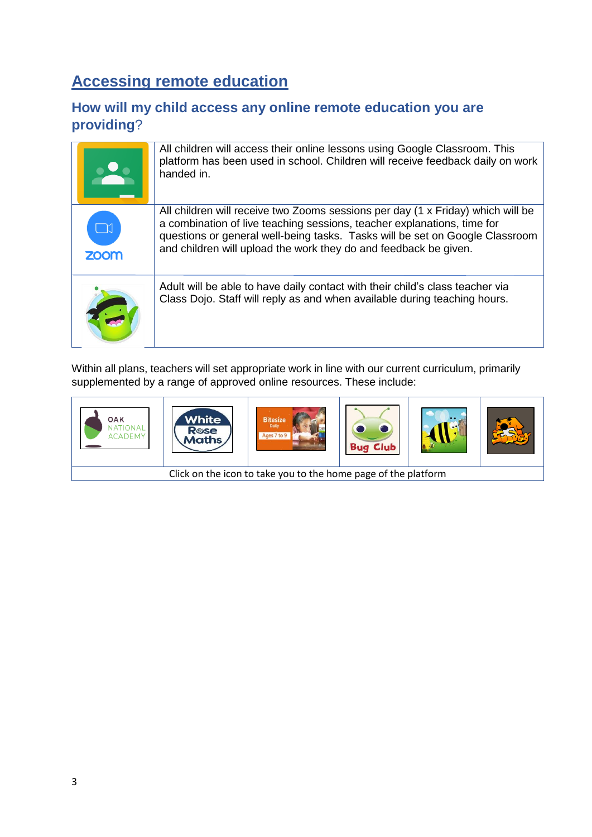# **Accessing remote education**

### **How will my child access any online remote education you are providing**?

|                       | All children will access their online lessons using Google Classroom. This<br>platform has been used in school. Children will receive feedback daily on work<br>handed in.                                                                                                                                     |
|-----------------------|----------------------------------------------------------------------------------------------------------------------------------------------------------------------------------------------------------------------------------------------------------------------------------------------------------------|
| $\Box$<br><b>ZOOM</b> | All children will receive two Zooms sessions per day (1 x Friday) which will be<br>a combination of live teaching sessions, teacher explanations, time for<br>questions or general well-being tasks. Tasks will be set on Google Classroom<br>and children will upload the work they do and feedback be given. |
|                       | Adult will be able to have daily contact with their child's class teacher via<br>Class Dojo. Staff will reply as and when available during teaching hours.                                                                                                                                                     |

Within all plans, teachers will set appropriate work in line with our current curriculum, primarily supplemented by a range of approved online resources. These include:

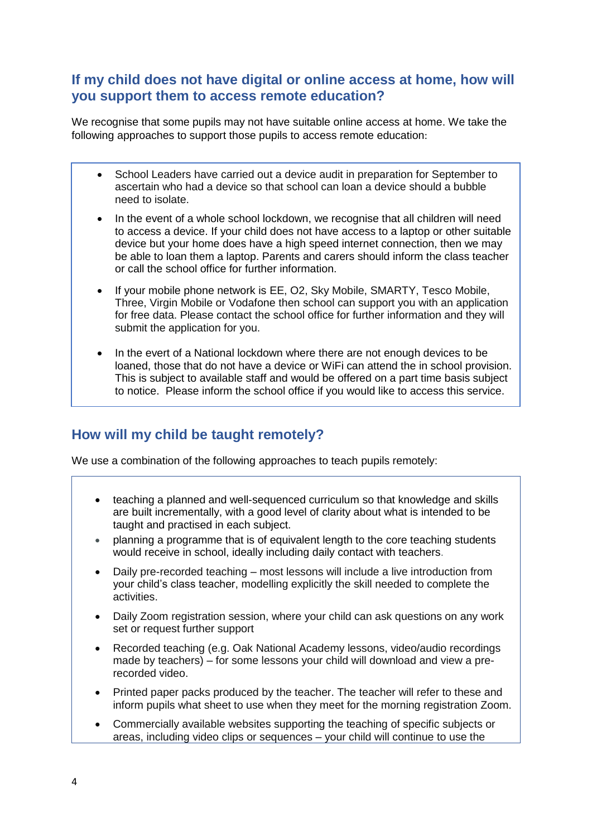### **If my child does not have digital or online access at home, how will you support them to access remote education?**

We recognise that some pupils may not have suitable online access at home. We take the following approaches to support those pupils to access remote education:

- School Leaders have carried out a device audit in preparation for September to ascertain who had a device so that school can loan a device should a bubble need to isolate.
- In the event of a whole school lockdown, we recognise that all children will need to access a device. If your child does not have access to a laptop or other suitable device but your home does have a high speed internet connection, then we may be able to loan them a laptop. Parents and carers should inform the class teacher or call the school office for further information.
- If your mobile phone network is EE, O2, Sky Mobile, SMARTY, Tesco Mobile, Three, Virgin Mobile or Vodafone then school can support you with an application for free data. Please contact the school office for further information and they will submit the application for you.
- In the evert of a National lockdown where there are not enough devices to be loaned, those that do not have a device or WiFi can attend the in school provision. This is subject to available staff and would be offered on a part time basis subject to notice. Please inform the school office if you would like to access this service.

### **How will my child be taught remotely?**

We use a combination of the following approaches to teach pupils remotely:

- teaching a planned and well-sequenced curriculum so that knowledge and skills are built incrementally, with a good level of clarity about what is intended to be taught and practised in each subject.
- planning a programme that is of equivalent length to the core teaching students would receive in school, ideally including daily contact with teachers.
- Daily pre-recorded teaching most lessons will include a live introduction from your child's class teacher, modelling explicitly the skill needed to complete the activities.
- Daily Zoom registration session, where your child can ask questions on any work set or request further support
- Recorded teaching (e.g. Oak National Academy lessons, video/audio recordings made by teachers) – for some lessons your child will download and view a prerecorded video.
- Printed paper packs produced by the teacher. The teacher will refer to these and inform pupils what sheet to use when they meet for the morning registration Zoom.
- Commercially available websites supporting the teaching of specific subjects or areas, including video clips or sequences – your child will continue to use the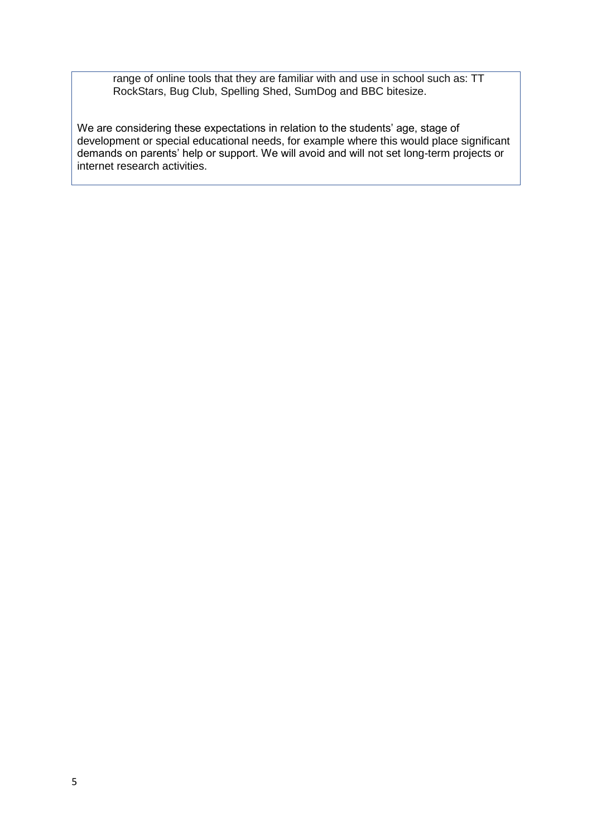range of online tools that they are familiar with and use in school such as: TT RockStars, Bug Club, Spelling Shed, SumDog and BBC bitesize.

We are considering these expectations in relation to the students' age, stage of development or special educational needs, for example where this would place significant demands on parents' help or support. We will avoid and will not set long-term projects or internet research activities.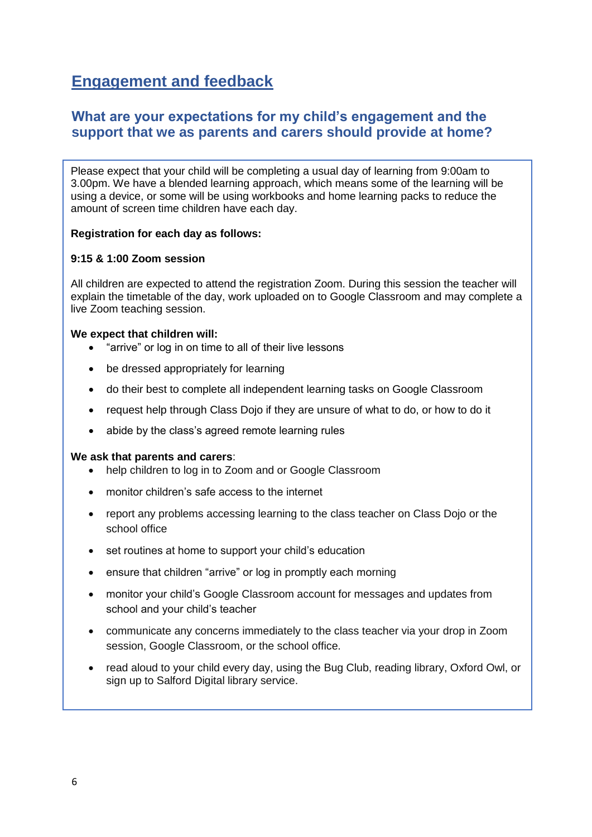# **Engagement and feedback**

### **What are your expectations for my child's engagement and the support that we as parents and carers should provide at home?**

Please expect that your child will be completing a usual day of learning from 9:00am to 3.00pm. We have a blended learning approach, which means some of the learning will be using a device, or some will be using workbooks and home learning packs to reduce the amount of screen time children have each day.

#### **Registration for each day as follows:**

#### **9:15 & 1:00 Zoom session**

All children are expected to attend the registration Zoom. During this session the teacher will explain the timetable of the day, work uploaded on to Google Classroom and may complete a live Zoom teaching session.

#### **We expect that children will:**

- "arrive" or log in on time to all of their live lessons
- be dressed appropriately for learning
- do their best to complete all independent learning tasks on Google Classroom
- request help through Class Dojo if they are unsure of what to do, or how to do it
- abide by the class's agreed remote learning rules

#### **We ask that parents and carers**:

- help children to log in to Zoom and or Google Classroom
- monitor children's safe access to the internet
- report any problems accessing learning to the class teacher on Class Dojo or the school office
- set routines at home to support your child's education
- ensure that children "arrive" or log in promptly each morning
- monitor your child's Google Classroom account for messages and updates from school and your child's teacher
- communicate any concerns immediately to the class teacher via your drop in Zoom session, Google Classroom, or the school office.
- read aloud to your child every day, using the Bug Club, reading library, Oxford Owl, or sign up to Salford Digital library service.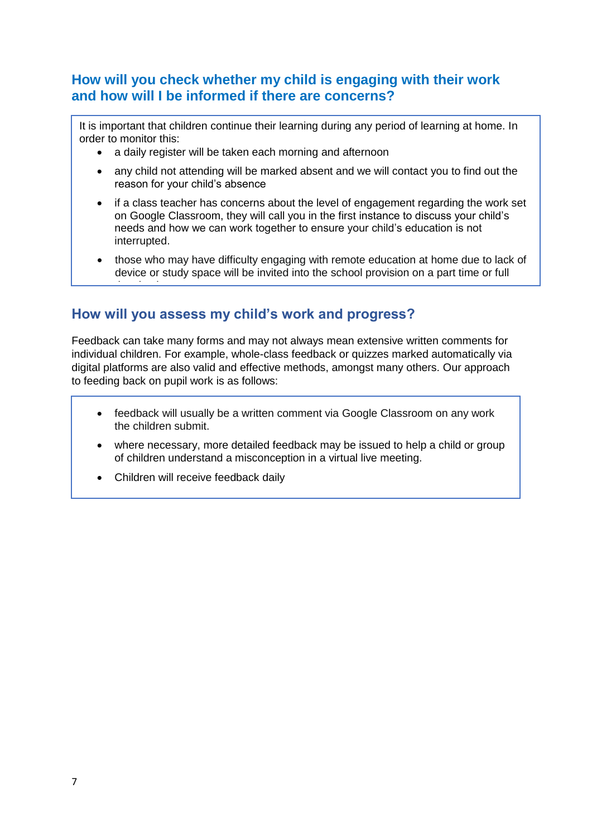### **How will you check whether my child is engaging with their work and how will I be informed if there are concerns?**

It is important that children continue their learning during any period of learning at home. In order to monitor this:

- a daily register will be taken each morning and afternoon
- any child not attending will be marked absent and we will contact you to find out the reason for your child's absence
- if a class teacher has concerns about the level of engagement regarding the work set on Google Classroom, they will call you in the first instance to discuss your child's needs and how we can work together to ensure your child's education is not interrupted.
- those who may have difficulty engaging with remote education at home due to lack of device or study space will be invited into the school provision on a part time or full

### **How will you assess my child's work and progress?**

Feedback can take many forms and may not always mean extensive written comments for individual children. For example, whole-class feedback or quizzes marked automatically via digital platforms are also valid and effective methods, amongst many others. Our approach to feeding back on pupil work is as follows:

- feedback will usually be a written comment via Google Classroom on any work the children submit. The concernsive will inform  $\mathcal{L}$  in the concernsive will inform  $\mathcal{L}$  in the children submit.
- where necessary, more detailed feedback may be issued to help a child or group of children understand a misconception in a virtual live meeting.
- Children will receive feedback daily

time basis.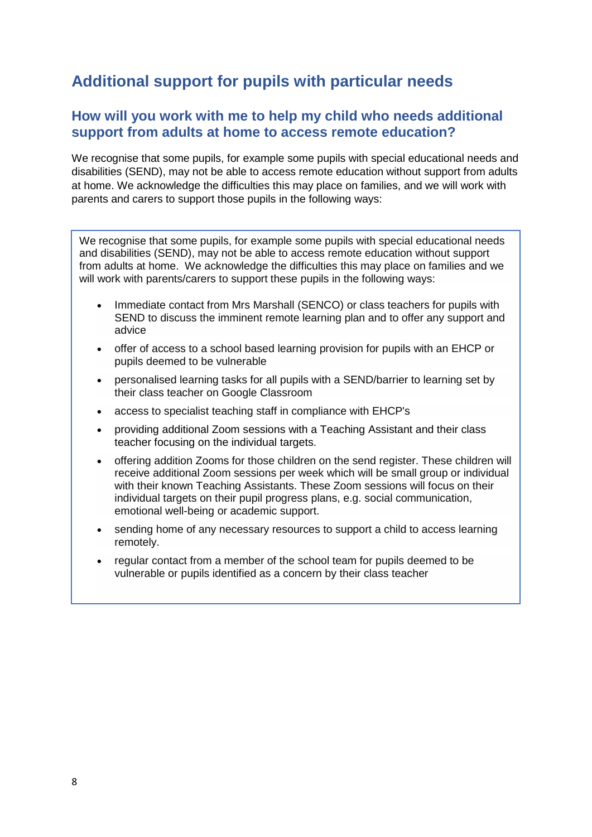## **Additional support for pupils with particular needs**

### **How will you work with me to help my child who needs additional support from adults at home to access remote education?**

We recognise that some pupils, for example some pupils with special educational needs and disabilities (SEND), may not be able to access remote education without support from adults at home. We acknowledge the difficulties this may place on families, and we will work with parents and carers to support those pupils in the following ways:

We recognise that some pupils, for example some pupils with special educational needs and disabilities (SEND), may not be able to access remote education without support from adults at home. We acknowledge the difficulties this may place on families and we will work with parents/carers to support these pupils in the following ways:

- Immediate contact from Mrs Marshall (SENCO) or class teachers for pupils with SEND to discuss the imminent remote learning plan and to offer any support and advice
- offer of access to a school based learning provision for pupils with an EHCP or pupils deemed to be vulnerable
- personalised learning tasks for all pupils with a SEND/barrier to learning set by their class teacher on Google Classroom
- access to specialist teaching staff in compliance with EHCP's
- providing additional Zoom sessions with a Teaching Assistant and their class teacher focusing on the individual targets.
- offering addition Zooms for those children on the send register. These children will receive additional Zoom sessions per week which will be small group or individual with their known Teaching Assistants. These Zoom sessions will focus on their individual targets on their pupil progress plans, e.g. social communication, emotional well-being or academic support.
- sending home of any necessary resources to support a child to access learning remotely.
- regular contact from a member of the school team for pupils deemed to be vulnerable or pupils identified as a concern by their class teacher